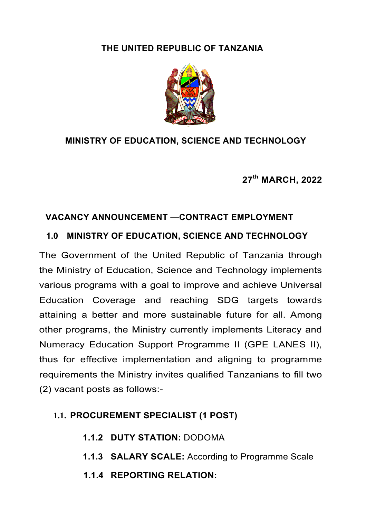### **THE UNITED REPUBLIC OF TANZANIA**



#### **MINISTRY OF EDUCATION, SCIENCE AND TECHNOLOGY**

**27th MARCH, 2022**

#### **VACANCY ANNOUNCEMENT —CONTRACT EMPLOYMENT**

#### **1.0 MINISTRY OF EDUCATION, SCIENCE AND TECHNOLOGY**

The Government of the United Republic of Tanzania through the Ministry of Education, Science and Technology implements various programs with a goal to improve and achieve Universal Education Coverage and reaching SDG targets towards attaining a better and more sustainable future for all. Among other programs, the Ministry currently implements Literacy and Numeracy Education Support Programme II (GPE LANES II), thus for effective implementation and aligning to programme requirements the Ministry invites qualified Tanzanians to fill two (2) vacant posts as follows:-

### **1.1. PROCUREMENT SPECIALIST (1 POST)**

- **1.1.2 DUTY STATION:** DODOMA
- **1.1.3 SALARY SCALE:** According to Programme Scale
- **1.1.4 REPORTING RELATION:**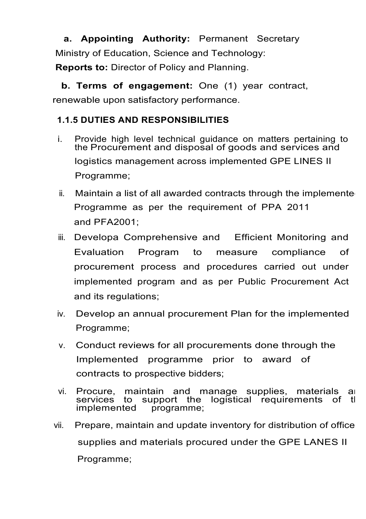**a. Appointing Authority:** Permanent Secretary Ministry of Education, Science and Technology:

**Reports to:** Director of Policy and Planning.

 **b. Terms of engagement:** One (1) year contract, renewable upon satisfactory performance.

## **1.1.5 DUTIES AND RESPONSIBILITIES**

- i. Provide high level technical guidance on matters pertaining to the Procurement and disposal of goods and services and logistics management across implemented GPE LINES II Programme;
- $ii.$  Maintain a list of all awarded contracts through the implemente Programme as per the requirement of PPA 2011 and PFA2001;
- iii. Developa Comprehensive and Efficient Monitoring and Evaluation Program to measure compliance of procurement process and procedures carried out under implemented program and as per Public Procurement Act and its regulations;
- iv. Develop an annual procurement Plan for the implemented Programme;
- v. Conduct reviews for all procurements done through the Implemented programme prior to award of contracts to prospective bidders;
- vi. Procure, maintain and manage supplies, materials and services to support the logistical requirements of the implemented programme: programme;
- vii. Prepare, maintain and update inventory for distribution of office supplies and materials procured under the GPE LANES II Programme;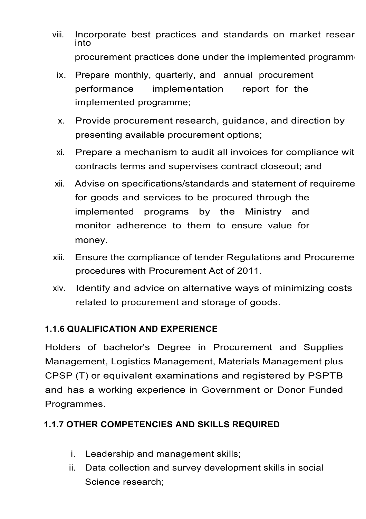- viii. Incorporate best practices and standards on market resear<br>into procurement practices done under the implemented programme
	- ix. Prepare monthly, quarterly, and annual procurement performance implementation report for the implemented programme;
	- x. Provide procurement research, guidance, and direction by presenting available procurement options;
	- xi. Prepare a mechanism to audit all invoices for compliance with contracts terms and supervises contract closeout; and
- xii. Advise on specifications/standards and statement of requireme for goods and services to be procured through the implemented programs by the Ministry and monitor adherence to them to ensure value for money.
- xiii. Ensure the compliance of tender Regulations and Procureme procedures with Procurement Act of 2011.
- xiv. Identify and advice on alternative ways of minimizing costs related to procurement and storage of goods.

### **1.1.6 QUALIFICATION AND EXPERIENCE**

Holders of bachelor's Degree in Procurement and Supplies Management, Logistics Management, Materials Management plus CPSP (T) or equivalent examinations and registered by PSPTB and has a working experience in Government or Donor Funded Programmes.

# **1.1.7 OTHER COMPETENCIES AND SKILLS REQUIRED**

- i. Leadership and management skills;
- ii. Data collection and survey development skills in social Science research;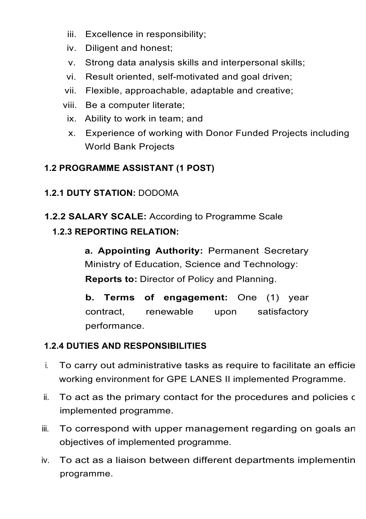- iii. Excellence in responsibility;
- iv. Diligent and honest;
- v. Strong data analysis skills and interpersonal skills;
- vi. Result oriented, self-motivated and goal driven;
- vii. Flexible, approachable, adaptable and creative;
- viii. Be a computer literate;
- ix. Ability to work in team; and
- x. Experience of working with Donor Funded Projects including World Bank Projects

# **1.2 PROGRAMME ASSISTANT (1 POST)**

# **1.2.1 DUTY STATION:** DODOMA

**1.2.2 SALARY SCALE:** According to Programme Scale

## **1.2.3 REPORTING RELATION:**

**a. Appointing Authority:** Permanent Secretary Ministry of Education, Science and Technology: **Reports to:** Director of Policy and Planning.

**b. Terms of engagement:** One (1) year contract, renewable upon satisfactory performance.

# **1.2.4 DUTIES AND RESPONSIBILITIES**

- $i.$  To carry out administrative tasks as require to facilitate an efficie working environment for GPE LANES II implemented Programme.
- i. To act as the primary contact for the procedures and policies of implemented programme.
- iii. To correspond with upper management regarding on goals an objectives of implemented programme.
- iv. To act as a liaison between different departments implementing programme.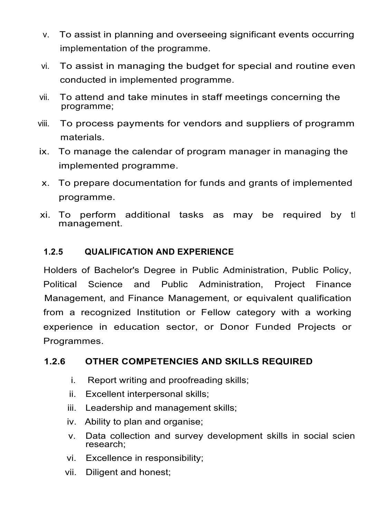- v. To assist in planning and overseeing significant events occurring implementation of the programme.
- vi. To assist in managing the budget for special and routine even conducted in implemented programme.
- vii. To attend and take minutes in staff meetings concerning the programme;
- viii. To process payments for vendors and suppliers of programm materials.
- ix. To manage the calendar of program manager in managing the implemented programme.
- x. To prepare documentation for funds and grants of implemented programme.
- xi. To perform additional tasks as may be required by the management.

### **1.2.5 QUALIFICATION AND EXPERIENCE**

Holders of Bachelor's Degree in Public Administration, Public Policy, Political Science and Public Administration, Project Finance Management, and Finance Management, or equivalent qualification from a recognized Institution or Fellow category with a working experience in education sector, or Donor Funded Projects or Programmes.

#### **1.2.6 OTHER COMPETENCIES AND SKILLS REQUIRED**

- i. Report writing and proofreading skills;
- ii. Excellent interpersonal skills;
- iii. Leadership and management skills;
- iv. Ability to plan and organise;
- v. Data collection and survey development skills in social scien research;
- vi. Excellence in responsibility;
- vii. Diligent and honest;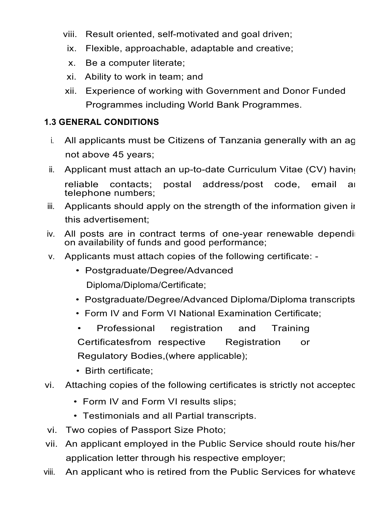- viii. Result oriented, self-motivated and goal driven;
- ix. Flexible, approachable, adaptable and creative;
- x. Be a computer literate;
- xi. Ability to work in team; and
- xii. Experience of working with Government and Donor Funded Programmes including World Bank Programmes.

### **1.3 GENERAL CONDITIONS**

- $i.$  All applicants must be Citizens of Tanzania generally with an age not above 45 years;
- ii. Applicant must attach an up-to-date Curriculum Vitae (CV) having reliable contacts; postal address/post code, email and telephone numbers;
- iii. Applicants should apply on the strength of the information given in this advertisement;
- iv. All posts are in contract terms of one-year renewable depending on availability of funds and good performance;
- v. Applicants must attach copies of the following certificate:
	- Postgraduate/Degree/Advanced Diploma/Diploma/Certificate;
	- Postgraduate/Degree/Advanced Diploma/Diploma transcripts
	- Form IV and Form VI National Examination Certificate;
	- Professional registration and Training Certificatesfrom respective Registration or Regulatory Bodies,(where applicable);
	- Birth certificate;
- vi. Attaching copies of the following certificates is strictly not accepted
	- Form IV and Form VI results slips;
	- Testimonials and all Partial transcripts.
- vi. Two copies of Passport Size Photo;
- vii. An applicant employed in the Public Service should route his/her application letter through his respective employer;
- viii. An applicant who is retired from the Public Services for whateve